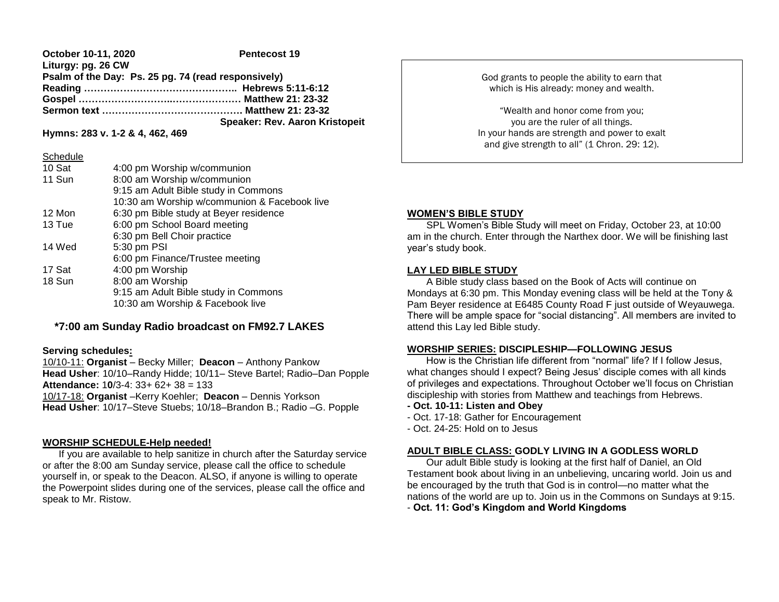#### **October 10-11, 2020** Pentecost 19 **Liturgy: pg. 26 CW Psalm of the Day: Ps. 25 pg. 74 (read responsively) Reading ……………………………………….. Hebrews 5:11-6:12 Gospel ………………………..………………… Matthew 21: 23-32 Sermon text ……………………………………. Matthew 21: 23-32 Speaker: Rev. Aaron Kristopeit**

**Hymns: 283 v. 1-2 & 4, 462, 469**

## **Schedule**

| 10 Sat | 4:00 pm Worship w/communion                  |
|--------|----------------------------------------------|
| 11 Sun | 8:00 am Worship w/communion                  |
|        | 9:15 am Adult Bible study in Commons         |
|        | 10:30 am Worship w/communion & Facebook live |
| 12 Mon | 6:30 pm Bible study at Beyer residence       |
| 13 Tue | 6:00 pm School Board meeting                 |
|        | 6:30 pm Bell Choir practice                  |
| 14 Wed | 5:30 pm PSI                                  |
|        | 6:00 pm Finance/Trustee meeting              |
| 17 Sat | 4:00 pm Worship                              |
| 18 Sun | 8:00 am Worship                              |
|        | 9:15 am Adult Bible study in Commons         |
|        | 10:30 am Worship & Facebook live             |

# **\*7:00 am Sunday Radio broadcast on FM92.7 LAKES**

### **Serving schedules:**

10/10-11: **Organist** – Becky Miller; **Deacon** – Anthony Pankow **Head Usher**: 10/10–Randy Hidde; 10/11– Steve Bartel; Radio–Dan Popple **Attendance:** 1**0**/3-4: 33+ 62+ 38 = 133 10/17-18: **Organist** –Kerry Koehler; **Deacon** – Dennis Yorkson **Head Usher**: 10/17–Steve Stuebs; 10/18–Brandon B.; Radio –G. Popple

## **WORSHIP SCHEDULE-Help needed!**

 If you are available to help sanitize in church after the Saturday service or after the 8:00 am Sunday service, please call the office to schedule yourself in, or speak to the Deacon. ALSO, if anyone is willing to operate the Powerpoint slides during one of the services, please call the office and speak to Mr. Ristow.

God grants to people the ability to earn that which is His already: money and wealth.

"Wealth and honor come from you; you are the ruler of all things. In your hands are strength and power to exalt and give strength to all" (1 Chron. 29: 12).

# **WOMEN'S BIBLE STUDY**

SPL Women's Bible Study will meet on Friday, October 23, at 10:00 am in the church. Enter through the Narthex door. We will be finishing last year's study book.

## **LAY LED BIBLE STUDY**

 A Bible study class based on the Book of Acts will continue on Mondays at 6:30 pm. This Monday evening class will be held at the Tony & Pam Beyer residence at E6485 County Road F just outside of Weyauwega. There will be ample space for "social distancing". All members are invited to attend this Lay led Bible study.

## **WORSHIP SERIES: DISCIPLESHIP—FOLLOWING JESUS**

 How is the Christian life different from "normal" life? If I follow Jesus, what changes should I expect? Being Jesus' disciple comes with all kinds of privileges and expectations. Throughout October we'll focus on Christian discipleship with stories from Matthew and teachings from Hebrews.

- **- Oct. 10-11: Listen and Obey**
- Oct. 17-18: Gather for Encouragement
- Oct. 24-25: Hold on to Jesus

## **ADULT BIBLE CLASS: GODLY LIVING IN A GODLESS WORLD**

 Our adult Bible study is looking at the first half of Daniel, an Old Testament book about living in an unbelieving, uncaring world. Join us and be encouraged by the truth that God is in control—no matter what the nations of the world are up to. Join us in the Commons on Sundays at 9:15.

- **Oct. 11: God's Kingdom and World Kingdoms**